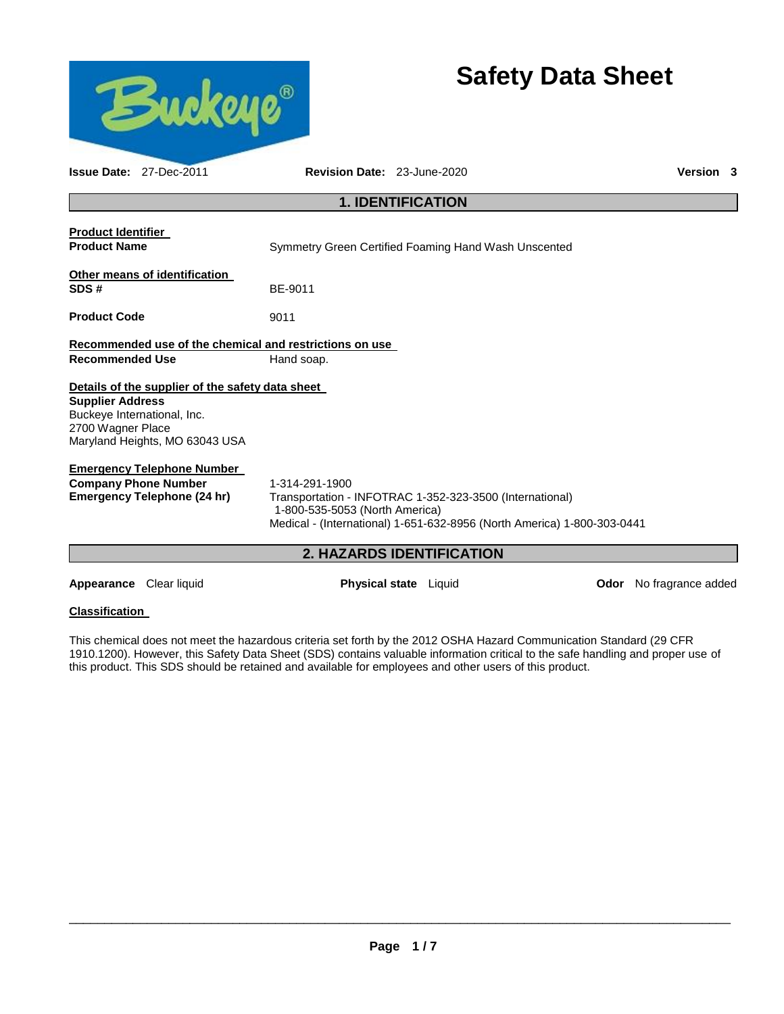

**Appearance** Clear liquid **Physical state** Liquid **Odor** No fragrance added

# **Classification**

This chemical does not meet the hazardous criteria set forth by the 2012 OSHA Hazard Communication Standard (29 CFR 1910.1200). However, this Safety Data Sheet (SDS) contains valuable information critical to the safe handling and proper use of this product. This SDS should be retained and available for employees and other users of this product.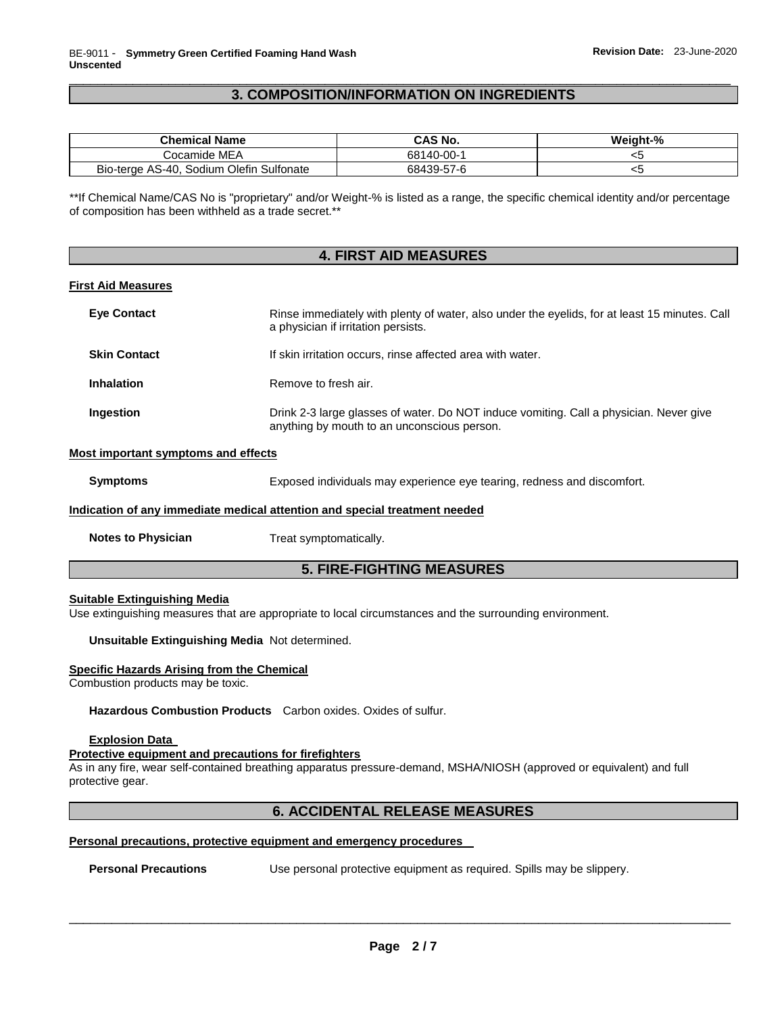## \_\_\_\_\_\_\_\_\_\_\_\_\_\_\_\_\_\_\_\_\_\_\_\_\_\_\_\_\_\_\_\_\_\_\_\_\_\_\_\_\_\_\_\_\_\_\_\_\_\_\_\_\_\_\_\_\_\_\_\_\_\_\_\_\_\_\_\_\_\_\_\_\_\_\_\_\_\_\_\_\_\_\_\_\_\_\_\_\_\_\_\_\_ **3. COMPOSITION/INFORMATION ON INGREDIENTS**

| <b>Chemical Name</b>                     | CAS No.    | Weight-% |
|------------------------------------------|------------|----------|
| Cocamide MEA                             | 68140-00-1 |          |
| Bio-terge AS-40, Sodium Olefin Sulfonate | 68439-57-6 | ີ        |

\*\*If Chemical Name/CAS No is "proprietary" and/or Weight-% is listed as a range, the specific chemical identity and/or percentage of composition has been withheld as a trade secret.\*\*

## **4. FIRST AID MEASURES**

#### **First Aid Measures**

| <b>Eve Contact</b>                                                         | Rinse immediately with plenty of water, also under the eyelids, for at least 15 minutes. Call<br>a physician if irritation persists.  |  |  |  |  |
|----------------------------------------------------------------------------|---------------------------------------------------------------------------------------------------------------------------------------|--|--|--|--|
| <b>Skin Contact</b>                                                        | If skin irritation occurs, rinse affected area with water.                                                                            |  |  |  |  |
| <b>Inhalation</b>                                                          | Remove to fresh air.                                                                                                                  |  |  |  |  |
| Ingestion                                                                  | Drink 2-3 large glasses of water. Do NOT induce vomiting. Call a physician. Never give<br>anything by mouth to an unconscious person. |  |  |  |  |
| Most important symptoms and effects                                        |                                                                                                                                       |  |  |  |  |
| <b>Symptoms</b>                                                            | Exposed individuals may experience eye tearing, redness and discomfort.                                                               |  |  |  |  |
| Indication of any immediate medical attention and special treatment needed |                                                                                                                                       |  |  |  |  |

**Notes to Physician**  Treat symptomatically.

## **5. FIRE-FIGHTING MEASURES**

## **Suitable Extinguishing Media**

Use extinguishing measures that are appropriate to local circumstances and the surrounding environment.

**Unsuitable Extinguishing Media** Not determined.

#### **Specific Hazards Arising from the Chemical**

Combustion products may be toxic.

**Hazardous Combustion Products** Carbon oxides. Oxides of sulfur.

## **Explosion Data**

## **Protective equipment and precautions for firefighters**

As in any fire, wear self-contained breathing apparatus pressure-demand, MSHA/NIOSH (approved or equivalent) and full protective gear.

## **6. ACCIDENTAL RELEASE MEASURES**

#### **Personal precautions, protective equipment and emergency procedures**

**Personal Precautions** Use personal protective equipment as required. Spills may be slippery.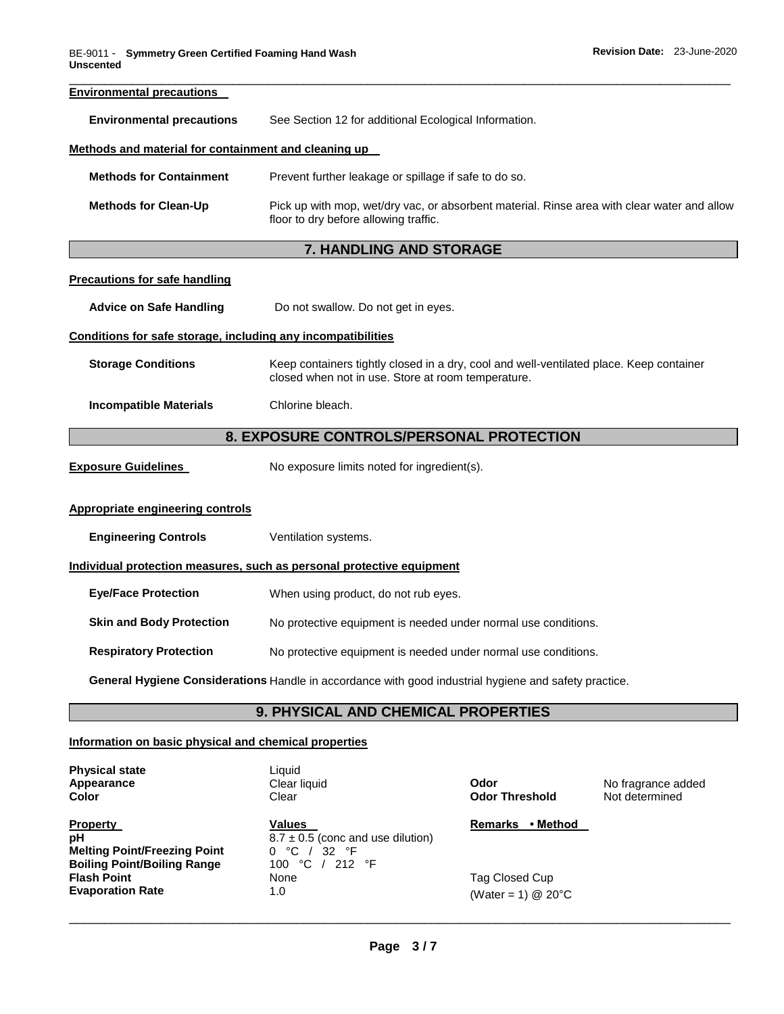| <b>Environmental precautions</b>                             |                                                                                                                                               |  |  |  |
|--------------------------------------------------------------|-----------------------------------------------------------------------------------------------------------------------------------------------|--|--|--|
| <b>Environmental precautions</b>                             | See Section 12 for additional Ecological Information.                                                                                         |  |  |  |
| Methods and material for containment and cleaning up         |                                                                                                                                               |  |  |  |
| <b>Methods for Containment</b>                               | Prevent further leakage or spillage if safe to do so.                                                                                         |  |  |  |
| <b>Methods for Clean-Up</b>                                  | Pick up with mop, wet/dry vac, or absorbent material. Rinse area with clear water and allow<br>floor to dry before allowing traffic.          |  |  |  |
|                                                              | 7. HANDLING AND STORAGE                                                                                                                       |  |  |  |
| <b>Precautions for safe handling</b>                         |                                                                                                                                               |  |  |  |
| <b>Advice on Safe Handling</b>                               | Do not swallow. Do not get in eyes.                                                                                                           |  |  |  |
| Conditions for safe storage, including any incompatibilities |                                                                                                                                               |  |  |  |
| <b>Storage Conditions</b>                                    | Keep containers tightly closed in a dry, cool and well-ventilated place. Keep container<br>closed when not in use. Store at room temperature. |  |  |  |
| <b>Incompatible Materials</b>                                | Chlorine bleach.                                                                                                                              |  |  |  |
| 8. EXPOSURE CONTROLS/PERSONAL PROTECTION                     |                                                                                                                                               |  |  |  |
| <b>Exposure Guidelines</b>                                   | No exposure limits noted for ingredient(s).                                                                                                   |  |  |  |
| <b>Appropriate engineering controls</b>                      |                                                                                                                                               |  |  |  |
| <b>Engineering Controls</b>                                  | Ventilation systems.                                                                                                                          |  |  |  |
|                                                              | Individual protection measures, such as personal protective equipment                                                                         |  |  |  |
| <b>Eye/Face Protection</b>                                   | When using product, do not rub eyes.                                                                                                          |  |  |  |
| <b>Skin and Body Protection</b>                              | No protective equipment is needed under normal use conditions.                                                                                |  |  |  |
| <b>Respiratory Protection</b>                                | No protective equipment is needed under normal use conditions.                                                                                |  |  |  |
|                                                              | General Hygiene Considerations Handle in accordance with good industrial hygiene and safety practice.                                         |  |  |  |
|                                                              | 9. PHYSICAL AND CHEMICAL PROPERTIES                                                                                                           |  |  |  |

## **Information on basic physical and chemical properties**

| <b>Physical state</b><br>Appearance<br><b>Color</b>                                                | Liauid<br>Clear liquid<br>Clear                                                                      | Odor<br><b>Odor Threshold</b>             | No fragrance added<br>Not determined |
|----------------------------------------------------------------------------------------------------|------------------------------------------------------------------------------------------------------|-------------------------------------------|--------------------------------------|
| <b>Property</b><br>рH<br><b>Melting Point/Freezing Point</b><br><b>Boiling Point/Boiling Range</b> | <b>Values</b><br>$8.7 \pm 0.5$ (conc and use dilution)<br>°C<br>32<br>°F<br>0<br>°C<br>212 °F<br>100 | • Method<br><b>Remarks</b>                |                                      |
| <b>Flash Point</b><br><b>Evaporation Rate</b>                                                      | None<br>1.0                                                                                          | Tag Closed Cup<br>(Water = 1) $@$ 20 $°C$ |                                      |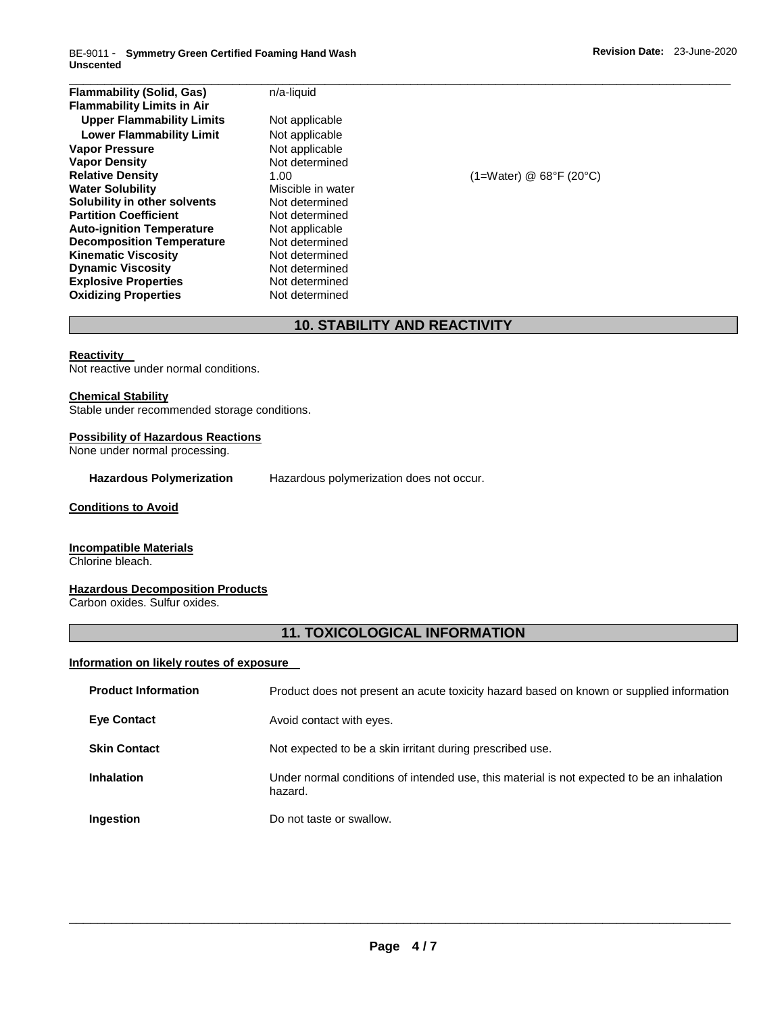BE-9011 - **Symmetry Green Certified Foaming Hand Wash Unscented** 

| <b>Flammability (Solid, Gas)</b>  | n/a-liquid        |                           |  |
|-----------------------------------|-------------------|---------------------------|--|
| <b>Flammability Limits in Air</b> |                   |                           |  |
| <b>Upper Flammability Limits</b>  | Not applicable    |                           |  |
| <b>Lower Flammability Limit</b>   | Not applicable    |                           |  |
| <b>Vapor Pressure</b>             | Not applicable    |                           |  |
| <b>Vapor Density</b>              | Not determined    |                           |  |
| <b>Relative Density</b>           | 1.00              | $(1=Water)$ @ 68°F (20°C) |  |
| <b>Water Solubility</b>           | Miscible in water |                           |  |
| Solubility in other solvents      | Not determined    |                           |  |
| <b>Partition Coefficient</b>      | Not determined    |                           |  |
| <b>Auto-ignition Temperature</b>  | Not applicable    |                           |  |
| <b>Decomposition Temperature</b>  | Not determined    |                           |  |
| <b>Kinematic Viscosity</b>        | Not determined    |                           |  |
| <b>Dynamic Viscosity</b>          | Not determined    |                           |  |
| <b>Explosive Properties</b>       | Not determined    |                           |  |
| <b>Oxidizing Properties</b>       | Not determined    |                           |  |

# **10. STABILITY AND REACTIVITY**

#### **Reactivity**

Not reactive under normal conditions.

**Chemical Stability**

Stable under recommended storage conditions.

#### **Possibility of Hazardous Reactions**

None under normal processing.

**Hazardous Polymerization** Hazardous polymerization does not occur.

#### **Conditions to Avoid**

## **Incompatible Materials**

Chlorine bleach.

# **Hazardous Decomposition Products**

Carbon oxides. Sulfur oxides.

## **11. TOXICOLOGICAL INFORMATION**

## **Information on likely routes of exposure**

| <b>Product Information</b> | Product does not present an acute toxicity hazard based on known or supplied information              |
|----------------------------|-------------------------------------------------------------------------------------------------------|
| <b>Eye Contact</b>         | Avoid contact with eyes.                                                                              |
| <b>Skin Contact</b>        | Not expected to be a skin irritant during prescribed use.                                             |
| <b>Inhalation</b>          | Under normal conditions of intended use, this material is not expected to be an inhalation<br>hazard. |
| Ingestion                  | Do not taste or swallow.                                                                              |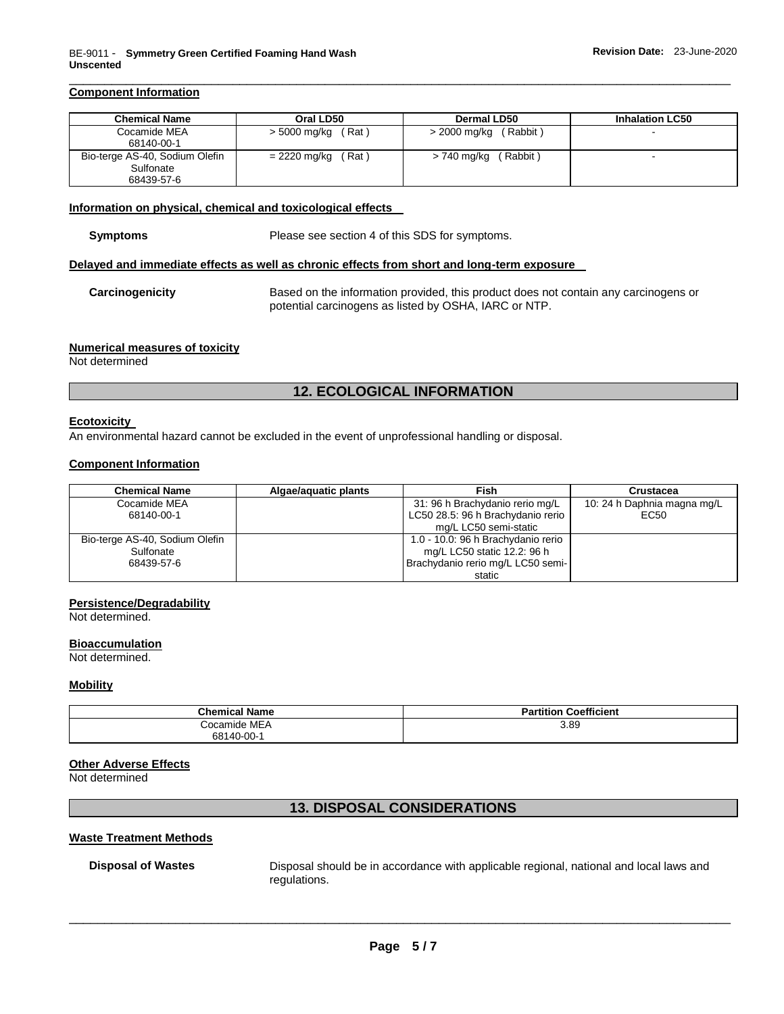## **Component Information**

| <b>Chemical Name</b>           | Oral LD50             | <b>Dermal LD50</b>       | <b>Inhalation LC50</b> |
|--------------------------------|-----------------------|--------------------------|------------------------|
| Cocamide MEA                   | > 5000 mg/kg<br>(Rat) | (Rabbit)<br>> 2000 mg/kg |                        |
| 68140-00-1                     |                       |                          |                        |
| Bio-terge AS-40, Sodium Olefin | (Rat)<br>= 2220 mg/kg | Rabbit)<br>> 740 mg/kg   |                        |
| Sulfonate                      |                       |                          |                        |
| 68439-57-6                     |                       |                          |                        |

\_\_\_\_\_\_\_\_\_\_\_\_\_\_\_\_\_\_\_\_\_\_\_\_\_\_\_\_\_\_\_\_\_\_\_\_\_\_\_\_\_\_\_\_\_\_\_\_\_\_\_\_\_\_\_\_\_\_\_\_\_\_\_\_\_\_\_\_\_\_\_\_\_\_\_\_\_\_\_\_\_\_\_\_\_\_\_\_\_\_\_\_\_

#### **Information on physical, chemical and toxicological effects**

**Symptoms** Please see section 4 of this SDS for symptoms.

#### **Delayed and immediate effects as well as chronic effects from short and long-term exposure**

## **Carcinogenicity** Based on the information provided, this product does not contain any carcinogens or potential carcinogens as listed by OSHA, IARC or NTP.

#### **Numerical measures of toxicity**

Not determined

## **12. ECOLOGICAL INFORMATION**

#### **Ecotoxicity**

An environmental hazard cannot be excluded in the event of unprofessional handling or disposal.

## **Component Information**

| <b>Chemical Name</b>           | Algae/aguatic plants | Fish                               | Crustacea                   |
|--------------------------------|----------------------|------------------------------------|-----------------------------|
| Cocamide MEA                   |                      | 31: 96 h Brachydanio rerio mg/L    | 10: 24 h Daphnia magna mg/L |
| 68140-00-1                     |                      | LC50 28.5: 96 h Brachydanio rerio  | EC <sub>50</sub>            |
|                                |                      | mg/L LC50 semi-static              |                             |
| Bio-terge AS-40, Sodium Olefin |                      | 1.0 - 10.0: 96 h Brachydanio rerio |                             |
| Sulfonate                      |                      | mg/L LC50 static 12.2: 96 h        |                             |
| 68439-57-6                     |                      | Brachydanio rerio mg/L LC50 semi-  |                             |
|                                |                      | static                             |                             |

#### **Persistence/Degradability**

Not determined.

#### **Bioaccumulation**

Not determined.

#### **Mobility**

| <b>Chemical Name</b> | <b>Coefficient</b><br>Partition |
|----------------------|---------------------------------|
| Cocamide MEA         | 3.89                            |
| 68140-00-1           |                                 |

## **Other Adverse Effects**

Not determined

## **13. DISPOSAL CONSIDERATIONS**

#### **Waste Treatment Methods**

**Disposal of Wastes** Disposal should be in accordance with applicable regional, national and local laws and regulations.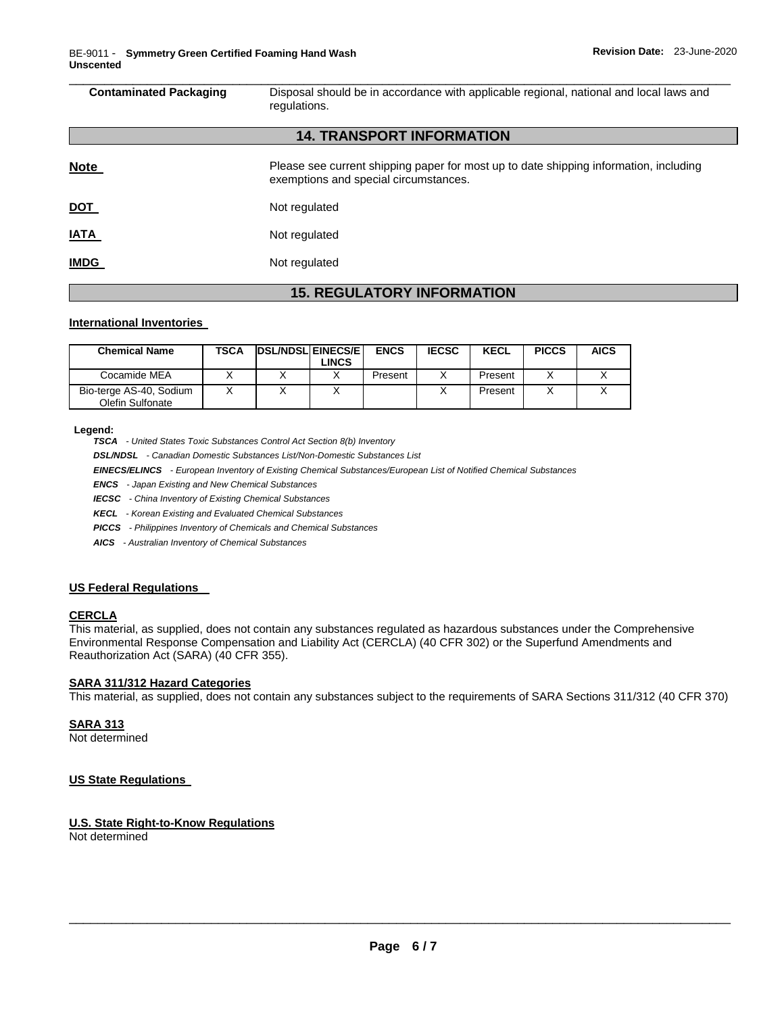| <b>Contaminated Packaging</b> | Disposal should be in accordance with applicable regional, national and local laws and<br>regulations.                         |  |  |  |
|-------------------------------|--------------------------------------------------------------------------------------------------------------------------------|--|--|--|
|                               | <b>14. TRANSPORT INFORMATION</b>                                                                                               |  |  |  |
| <b>Note</b>                   | Please see current shipping paper for most up to date shipping information, including<br>exemptions and special circumstances. |  |  |  |
| <u>DOT</u>                    | Not regulated                                                                                                                  |  |  |  |
| <b>IATA</b>                   | Not regulated                                                                                                                  |  |  |  |
| <b>IMDG</b>                   | Not regulated                                                                                                                  |  |  |  |

# **15. REGULATORY INFORMATION**

## **International Inventories**

| <b>Chemical Name</b>                        | <b>TSCA</b> | <b>DSL/NDSL EINECS/E</b><br>∟INCS. | <b>ENCS</b> | <b>IECSC</b> | KECL    | <b>PICCS</b> | <b>AICS</b> |
|---------------------------------------------|-------------|------------------------------------|-------------|--------------|---------|--------------|-------------|
| Cocamide MEA                                |             |                                    | Present     |              | Present |              |             |
| Bio-terge AS-40, Sodium<br>Olefin Sulfonate |             |                                    |             |              | Present |              |             |

#### **Legend:**

*TSCA - United States Toxic Substances Control Act Section 8(b) Inventory* 

*DSL/NDSL - Canadian Domestic Substances List/Non-Domestic Substances List* 

*EINECS/ELINCS - European Inventory of Existing Chemical Substances/European List of Notified Chemical Substances* 

*ENCS - Japan Existing and New Chemical Substances* 

*IECSC - China Inventory of Existing Chemical Substances* 

*KECL - Korean Existing and Evaluated Chemical Substances* 

*PICCS - Philippines Inventory of Chemicals and Chemical Substances* 

*AICS - Australian Inventory of Chemical Substances* 

## **US Federal Regulations**

## **CERCLA**

This material, as supplied, does not contain any substances regulated as hazardous substances under the Comprehensive Environmental Response Compensation and Liability Act (CERCLA) (40 CFR 302) or the Superfund Amendments and Reauthorization Act (SARA) (40 CFR 355).

## **SARA 311/312 Hazard Categories**

This material, as supplied, does not contain any substances subject to the requirements of SARA Sections 311/312 (40 CFR 370)

# **SARA 313**

Not determined

## **US State Regulations**

## **U.S. State Right-to-Know Regulations**

Not determined